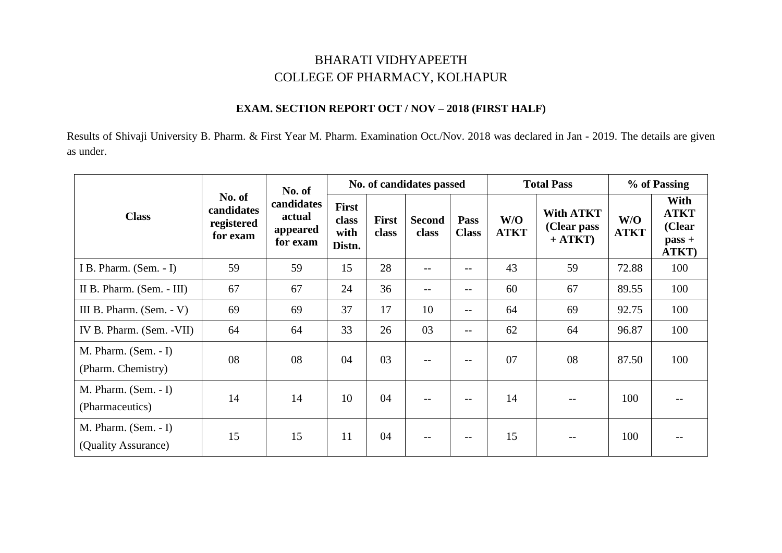## BHARATI VIDHYAPEETH COLLEGE OF PHARMACY, KOLHAPUR

## **EXAM. SECTION REPORT OCT / NOV – 2018 (FIRST HALF)**

Results of Shivaji University B. Pharm. & First Year M. Pharm. Examination Oct./Nov. 2018 was declared in Jan - 2019. The details are given as under.

| <b>Class</b>                                  | No. of<br>candidates<br>registered<br>for exam | No. of                                       | No. of candidates passed                |                       |                        |                          |                    | <b>Total Pass</b>                            | % of Passing       |                                                    |
|-----------------------------------------------|------------------------------------------------|----------------------------------------------|-----------------------------------------|-----------------------|------------------------|--------------------------|--------------------|----------------------------------------------|--------------------|----------------------------------------------------|
|                                               |                                                | candidates<br>actual<br>appeared<br>for exam | <b>First</b><br>class<br>with<br>Distn. | <b>First</b><br>class | <b>Second</b><br>class | Pass<br><b>Class</b>     | W/O<br><b>ATKT</b> | <b>With ATKT</b><br>(Clear pass<br>$+ ATKT)$ | W/O<br><b>ATKT</b> | With<br><b>ATKT</b><br>(Clear<br>$pass +$<br>ATKT) |
| I B. Pharm. (Sem. - I)                        | 59                                             | 59                                           | 15                                      | 28                    | $-$ -                  | $\overline{\phantom{m}}$ | 43                 | 59                                           | 72.88              | 100                                                |
| II B. Pharm. (Sem. - III)                     | 67                                             | 67                                           | 24                                      | 36                    | $-$                    | $\qquad \qquad -$        | 60                 | 67                                           | 89.55              | 100                                                |
| III B. Pharm. $(Sem. - V)$                    | 69                                             | 69                                           | 37                                      | 17                    | 10                     | $\overline{\phantom{m}}$ | 64                 | 69                                           | 92.75              | 100                                                |
| IV B. Pharm. (Sem. - VII)                     | 64                                             | 64                                           | 33                                      | 26                    | 03                     | $\qquad \qquad -$        | 62                 | 64                                           | 96.87              | 100                                                |
| $M.$ Pharm. (Sem. - I)<br>(Pharm. Chemistry)  | 08                                             | 08                                           | 04                                      | 03                    | $\qquad \qquad -$      | $-\,-$                   | 07                 | 08                                           | 87.50              | 100                                                |
| $M.$ Pharm. (Sem. - I)<br>(Pharmaceutics)     | 14                                             | 14                                           | 10                                      | 04                    | $-$                    | $- -$                    | 14                 |                                              | 100                |                                                    |
| $M.$ Pharm. (Sem. - I)<br>(Quality Assurance) | 15                                             | 15                                           | 11                                      | 04                    | $\qquad \qquad -$      | $\overline{\phantom{m}}$ | 15                 |                                              | 100                |                                                    |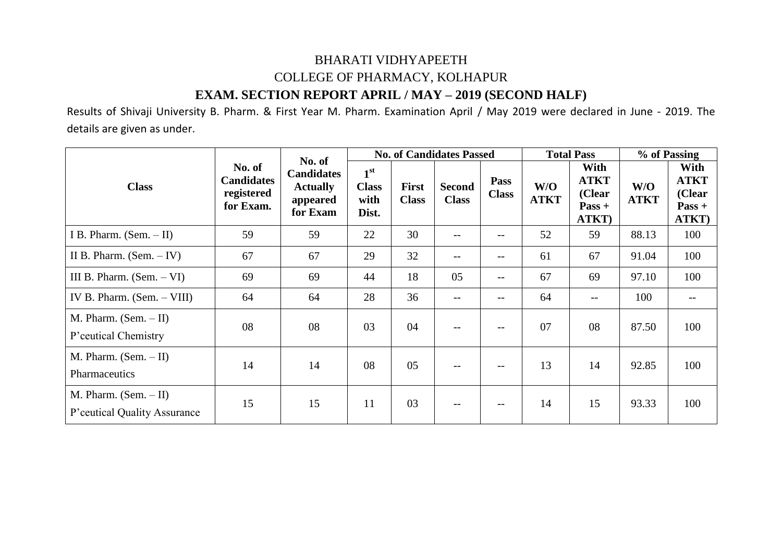## BHARATI VIDHYAPEETH COLLEGE OF PHARMACY, KOLHAPUR **EXAM. SECTION REPORT APRIL / MAY – 2019 (SECOND HALF)**

Results of Shivaji University B. Pharm. & First Year M. Pharm. Examination April / May 2019 were declared in June - 2019. The details are given as under.

| <b>Class</b>                                             | No. of<br><b>Candidates</b><br>registered<br>for Exam. | No. of<br><b>Candidates</b><br><b>Actually</b><br>appeared<br>for Exam |                                                  |                              | <b>No. of Candidates Passed</b> |                             | <b>Total Pass</b>  |                                                    | % of Passing       |                                                    |
|----------------------------------------------------------|--------------------------------------------------------|------------------------------------------------------------------------|--------------------------------------------------|------------------------------|---------------------------------|-----------------------------|--------------------|----------------------------------------------------|--------------------|----------------------------------------------------|
|                                                          |                                                        |                                                                        | 1 <sup>st</sup><br><b>Class</b><br>with<br>Dist. | <b>First</b><br><b>Class</b> | <b>Second</b><br><b>Class</b>   | <b>Pass</b><br><b>Class</b> | W/O<br><b>ATKT</b> | With<br><b>ATKT</b><br>(Clear<br>$Pass +$<br>ATKT) | W/O<br><b>ATKT</b> | With<br><b>ATKT</b><br>(Clear<br>$Pass +$<br>ATKT) |
| I B. Pharm. $(Sem. - II)$                                | 59                                                     | 59                                                                     | 22                                               | 30                           | $- -$                           | --                          | 52                 | 59                                                 | 88.13              | 100                                                |
| II B. Pharm. $(Sem. - IV)$                               | 67                                                     | 67                                                                     | 29                                               | 32                           | $- -$                           | --                          | 61                 | 67                                                 | 91.04              | 100                                                |
| III B. Pharm. $(Sem. - VI)$                              | 69                                                     | 69                                                                     | 44                                               | 18                           | 05                              | $--$                        | 67                 | 69                                                 | 97.10              | 100                                                |
| IV B. Pharm. $(Sem. - VIII)$                             | 64                                                     | 64                                                                     | 28                                               | 36                           | $\overline{\phantom{m}}$        | $--$                        | 64                 | $\qquad \qquad -$                                  | 100                |                                                    |
| M. Pharm. $(Sem. - II)$<br>P'ceutical Chemistry          | 08                                                     | 08                                                                     | 03                                               | 04                           | $- -$                           | $--$                        | 07                 | 08                                                 | 87.50              | 100                                                |
| M. Pharm. $(Sem. - II)$<br>Pharmaceutics                 | 14                                                     | 14                                                                     | 08                                               | 05                           | $-$                             | $- -$                       | 13                 | 14                                                 | 92.85              | 100                                                |
| M. Pharm. $(Sem. - II)$<br>P' ceutical Quality Assurance | 15                                                     | 15                                                                     | 11                                               | 03                           | $-$                             | $- -$                       | 14                 | 15                                                 | 93.33              | 100                                                |